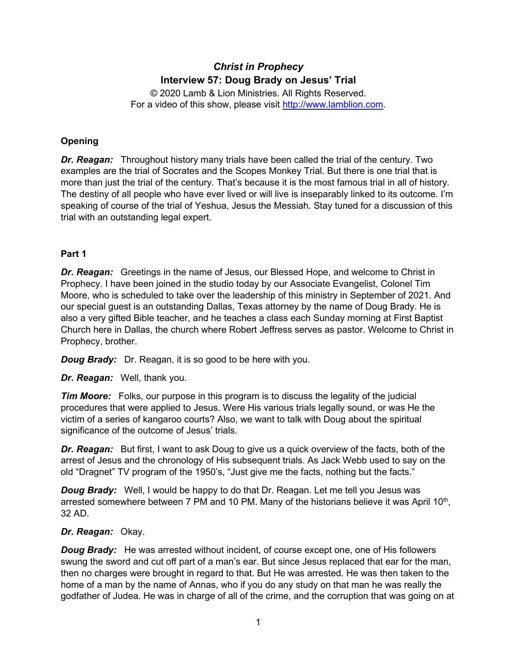# *Christ in Prophecy* **Interview 57: Doug Brady on Jesus' Trial**

© 2020 Lamb & Lion Ministries. All Rights Reserved. For a video of this show, please visit [http://www.lamblion.com.](http://www.lamblion.com/)

# **Opening**

*Dr. Reagan:* Throughout history many trials have been called the trial of the century. Two examples are the trial of Socrates and the Scopes Monkey Trial. But there is one trial that is more than just the trial of the century. That's because it is the most famous trial in all of history. The destiny of all people who have ever lived or will live is inseparably linked to its outcome. I'm speaking of course of the trial of Yeshua, Jesus the Messiah. Stay tuned for a discussion of this trial with an outstanding legal expert.

# **Part 1**

*Dr. Reagan:* Greetings in the name of Jesus, our Blessed Hope, and welcome to Christ in Prophecy. I have been joined in the studio today by our Associate Evangelist, Colonel Tim Moore, who is scheduled to take over the leadership of this ministry in September of 2021. And our special guest is an outstanding Dallas, Texas attorney by the name of Doug Brady. He is also a very gifted Bible teacher, and he teaches a class each Sunday morning at First Baptist Church here in Dallas, the church where Robert Jeffress serves as pastor. Welcome to Christ in Prophecy, brother.

*Doug Brady:* Dr. Reagan, it is so good to be here with you.

*Dr. Reagan:* Well, thank you.

*Tim Moore:* Folks, our purpose in this program is to discuss the legality of the judicial procedures that were applied to Jesus. Were His various trials legally sound, or was He the victim of a series of kangaroo courts? Also, we want to talk with Doug about the spiritual significance of the outcome of Jesus' trials.

*Dr. Reagan:* But first, I want to ask Doug to give us a quick overview of the facts, both of the arrest of Jesus and the chronology of His subsequent trials. As Jack Webb used to say on the old "Dragnet" TV program of the 1950's, "Just give me the facts, nothing but the facts."

*Doug Brady:* Well, I would be happy to do that Dr. Reagan. Let me tell you Jesus was arrested somewhere between 7 PM and 10 PM. Many of the historians believe it was April 10<sup>th</sup>, 32 AD.

#### *Dr. Reagan:* Okay.

*Doug Brady:* He was arrested without incident, of course except one, one of His followers swung the sword and cut off part of a man's ear. But since Jesus replaced that ear for the man, then no charges were brought in regard to that. But He was arrested. He was then taken to the home of a man by the name of Annas, who if you do any study on that man he was really the godfather of Judea. He was in charge of all of the crime, and the corruption that was going on at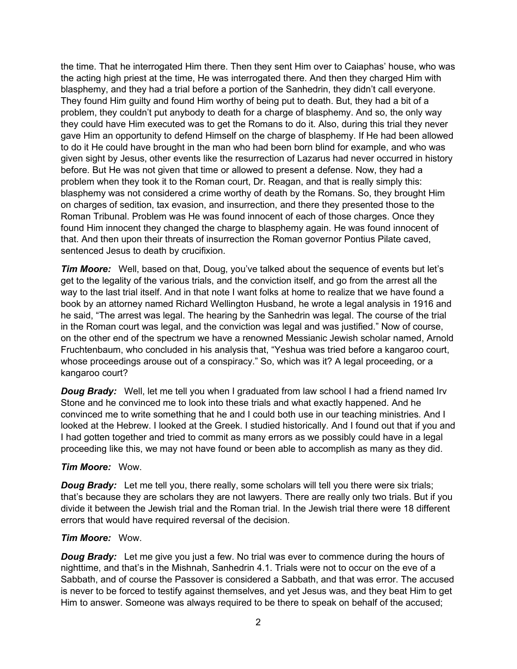the time. That he interrogated Him there. Then they sent Him over to Caiaphas' house, who was the acting high priest at the time, He was interrogated there. And then they charged Him with blasphemy, and they had a trial before a portion of the Sanhedrin, they didn't call everyone. They found Him guilty and found Him worthy of being put to death. But, they had a bit of a problem, they couldn't put anybody to death for a charge of blasphemy. And so, the only way they could have Him executed was to get the Romans to do it. Also, during this trial they never gave Him an opportunity to defend Himself on the charge of blasphemy. If He had been allowed to do it He could have brought in the man who had been born blind for example, and who was given sight by Jesus, other events like the resurrection of Lazarus had never occurred in history before. But He was not given that time or allowed to present a defense. Now, they had a problem when they took it to the Roman court, Dr. Reagan, and that is really simply this: blasphemy was not considered a crime worthy of death by the Romans. So, they brought Him on charges of sedition, tax evasion, and insurrection, and there they presented those to the Roman Tribunal. Problem was He was found innocent of each of those charges. Once they found Him innocent they changed the charge to blasphemy again. He was found innocent of that. And then upon their threats of insurrection the Roman governor Pontius Pilate caved, sentenced Jesus to death by crucifixion.

**Tim Moore:** Well, based on that, Doug, you've talked about the sequence of events but let's get to the legality of the various trials, and the conviction itself, and go from the arrest all the way to the last trial itself. And in that note I want folks at home to realize that we have found a book by an attorney named Richard Wellington Husband, he wrote a legal analysis in 1916 and he said, "The arrest was legal. The hearing by the Sanhedrin was legal. The course of the trial in the Roman court was legal, and the conviction was legal and was justified." Now of course, on the other end of the spectrum we have a renowned Messianic Jewish scholar named, Arnold Fruchtenbaum, who concluded in his analysis that, "Yeshua was tried before a kangaroo court, whose proceedings arouse out of a conspiracy." So, which was it? A legal proceeding, or a kangaroo court?

**Doug Brady:** Well, let me tell you when I graduated from law school I had a friend named Irv Stone and he convinced me to look into these trials and what exactly happened. And he convinced me to write something that he and I could both use in our teaching ministries. And I looked at the Hebrew. I looked at the Greek. I studied historically. And I found out that if you and I had gotten together and tried to commit as many errors as we possibly could have in a legal proceeding like this, we may not have found or been able to accomplish as many as they did.

#### *Tim Moore:* Wow.

*Doug Brady:* Let me tell you, there really, some scholars will tell you there were six trials; that's because they are scholars they are not lawyers. There are really only two trials. But if you divide it between the Jewish trial and the Roman trial. In the Jewish trial there were 18 different errors that would have required reversal of the decision.

#### *Tim Moore:* Wow.

**Doug Brady:** Let me give you just a few. No trial was ever to commence during the hours of nighttime, and that's in the Mishnah, Sanhedrin 4.1. Trials were not to occur on the eve of a Sabbath, and of course the Passover is considered a Sabbath, and that was error. The accused is never to be forced to testify against themselves, and yet Jesus was, and they beat Him to get Him to answer. Someone was always required to be there to speak on behalf of the accused;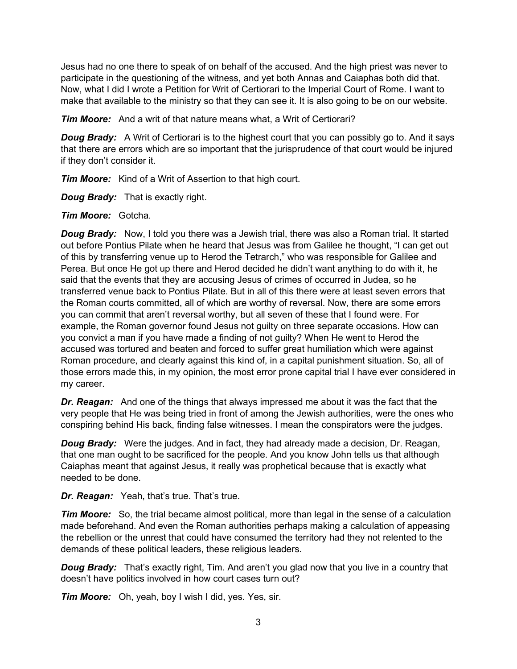Jesus had no one there to speak of on behalf of the accused. And the high priest was never to participate in the questioning of the witness, and yet both Annas and Caiaphas both did that. Now, what I did I wrote a Petition for Writ of Certiorari to the Imperial Court of Rome. I want to make that available to the ministry so that they can see it. It is also going to be on our website.

*Tim Moore:* And a writ of that nature means what, a Writ of Certiorari?

*Doug Brady:* A Writ of Certiorari is to the highest court that you can possibly go to. And it says that there are errors which are so important that the jurisprudence of that court would be injured if they don't consider it.

*Tim Moore:* Kind of a Writ of Assertion to that high court.

*Doug Brady:* That is exactly right.

*Tim Moore:* Gotcha.

*Doug Brady:* Now, I told you there was a Jewish trial, there was also a Roman trial. It started out before Pontius Pilate when he heard that Jesus was from Galilee he thought, "I can get out of this by transferring venue up to Herod the Tetrarch," who was responsible for Galilee and Perea. But once He got up there and Herod decided he didn't want anything to do with it, he said that the events that they are accusing Jesus of crimes of occurred in Judea, so he transferred venue back to Pontius Pilate. But in all of this there were at least seven errors that the Roman courts committed, all of which are worthy of reversal. Now, there are some errors you can commit that aren't reversal worthy, but all seven of these that I found were. For example, the Roman governor found Jesus not guilty on three separate occasions. How can you convict a man if you have made a finding of not guilty? When He went to Herod the accused was tortured and beaten and forced to suffer great humiliation which were against Roman procedure, and clearly against this kind of, in a capital punishment situation. So, all of those errors made this, in my opinion, the most error prone capital trial I have ever considered in my career.

*Dr. Reagan:* And one of the things that always impressed me about it was the fact that the very people that He was being tried in front of among the Jewish authorities, were the ones who conspiring behind His back, finding false witnesses. I mean the conspirators were the judges.

*Doug Brady:* Were the judges. And in fact, they had already made a decision, Dr. Reagan, that one man ought to be sacrificed for the people. And you know John tells us that although Caiaphas meant that against Jesus, it really was prophetical because that is exactly what needed to be done.

*Dr. Reagan:* Yeah, that's true. That's true.

*Tim Moore:* So, the trial became almost political, more than legal in the sense of a calculation made beforehand. And even the Roman authorities perhaps making a calculation of appeasing the rebellion or the unrest that could have consumed the territory had they not relented to the demands of these political leaders, these religious leaders.

*Doug Brady:* That's exactly right, Tim. And aren't you glad now that you live in a country that doesn't have politics involved in how court cases turn out?

*Tim Moore:* Oh, yeah, boy I wish I did, yes. Yes, sir.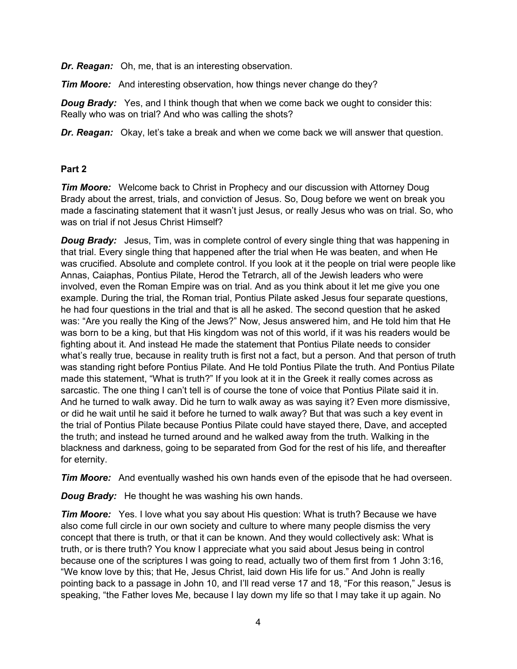*Dr. Reagan:* Oh, me, that is an interesting observation.

*Tim Moore:* And interesting observation, how things never change do they?

*Doug Brady:* Yes, and I think though that when we come back we ought to consider this: Really who was on trial? And who was calling the shots?

*Dr. Reagan:* Okay, let's take a break and when we come back we will answer that question.

### **Part 2**

*Tim Moore:* Welcome back to Christ in Prophecy and our discussion with Attorney Doug Brady about the arrest, trials, and conviction of Jesus. So, Doug before we went on break you made a fascinating statement that it wasn't just Jesus, or really Jesus who was on trial. So, who was on trial if not Jesus Christ Himself?

*Doug Brady:* Jesus, Tim, was in complete control of every single thing that was happening in that trial. Every single thing that happened after the trial when He was beaten, and when He was crucified. Absolute and complete control. If you look at it the people on trial were people like Annas, Caiaphas, Pontius Pilate, Herod the Tetrarch, all of the Jewish leaders who were involved, even the Roman Empire was on trial. And as you think about it let me give you one example. During the trial, the Roman trial, Pontius Pilate asked Jesus four separate questions, he had four questions in the trial and that is all he asked. The second question that he asked was: "Are you really the King of the Jews?" Now, Jesus answered him, and He told him that He was born to be a king, but that His kingdom was not of this world, if it was his readers would be fighting about it. And instead He made the statement that Pontius Pilate needs to consider what's really true, because in reality truth is first not a fact, but a person. And that person of truth was standing right before Pontius Pilate. And He told Pontius Pilate the truth. And Pontius Pilate made this statement, "What is truth?" If you look at it in the Greek it really comes across as sarcastic. The one thing I can't tell is of course the tone of voice that Pontius Pilate said it in. And he turned to walk away. Did he turn to walk away as was saying it? Even more dismissive, or did he wait until he said it before he turned to walk away? But that was such a key event in the trial of Pontius Pilate because Pontius Pilate could have stayed there, Dave, and accepted the truth; and instead he turned around and he walked away from the truth. Walking in the blackness and darkness, going to be separated from God for the rest of his life, and thereafter for eternity.

*Tim Moore:* And eventually washed his own hands even of the episode that he had overseen.

*Doug Brady:* He thought he was washing his own hands.

*Tim Moore:* Yes. I love what you say about His question: What is truth? Because we have also come full circle in our own society and culture to where many people dismiss the very concept that there is truth, or that it can be known. And they would collectively ask: What is truth, or is there truth? You know I appreciate what you said about Jesus being in control because one of the scriptures I was going to read, actually two of them first from 1 John 3:16, "We know love by this; that He, Jesus Christ, laid down His life for us." And John is really pointing back to a passage in John 10, and I'll read verse 17 and 18, "For this reason," Jesus is speaking, "the Father loves Me, because I lay down my life so that I may take it up again. No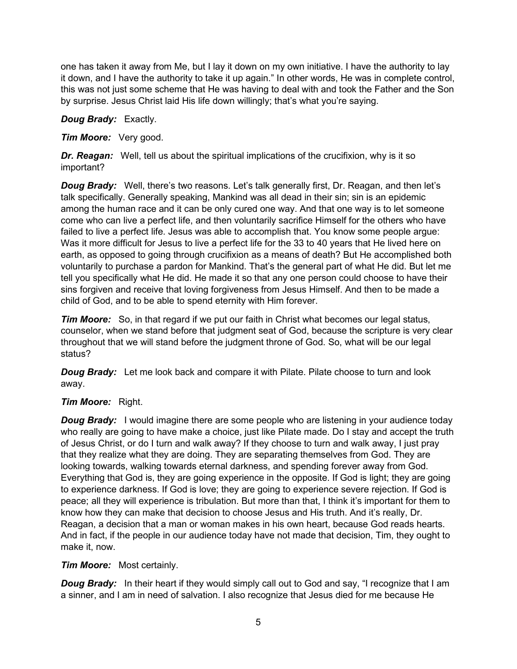one has taken it away from Me, but I lay it down on my own initiative. I have the authority to lay it down, and I have the authority to take it up again." In other words, He was in complete control, this was not just some scheme that He was having to deal with and took the Father and the Son by surprise. Jesus Christ laid His life down willingly; that's what you're saying.

### *Doug Brady:* Exactly.

## *Tim Moore:* Very good.

*Dr. Reagan:* Well, tell us about the spiritual implications of the crucifixion, why is it so important?

**Doug Brady:** Well, there's two reasons. Let's talk generally first, Dr. Reagan, and then let's talk specifically. Generally speaking, Mankind was all dead in their sin; sin is an epidemic among the human race and it can be only cured one way. And that one way is to let someone come who can live a perfect life, and then voluntarily sacrifice Himself for the others who have failed to live a perfect life. Jesus was able to accomplish that. You know some people argue: Was it more difficult for Jesus to live a perfect life for the 33 to 40 years that He lived here on earth, as opposed to going through crucifixion as a means of death? But He accomplished both voluntarily to purchase a pardon for Mankind. That's the general part of what He did. But let me tell you specifically what He did. He made it so that any one person could choose to have their sins forgiven and receive that loving forgiveness from Jesus Himself. And then to be made a child of God, and to be able to spend eternity with Him forever.

*Tim Moore:* So, in that regard if we put our faith in Christ what becomes our legal status, counselor, when we stand before that judgment seat of God, because the scripture is very clear throughout that we will stand before the judgment throne of God. So, what will be our legal status?

*Doug Brady:* Let me look back and compare it with Pilate. Pilate choose to turn and look away.

# *Tim Moore:* Right.

*Doug Brady:* I would imagine there are some people who are listening in your audience today who really are going to have make a choice, just like Pilate made. Do I stay and accept the truth of Jesus Christ, or do I turn and walk away? If they choose to turn and walk away, I just pray that they realize what they are doing. They are separating themselves from God. They are looking towards, walking towards eternal darkness, and spending forever away from God. Everything that God is, they are going experience in the opposite. If God is light; they are going to experience darkness. If God is love; they are going to experience severe rejection. If God is peace; all they will experience is tribulation. But more than that, I think it's important for them to know how they can make that decision to choose Jesus and His truth. And it's really, Dr. Reagan, a decision that a man or woman makes in his own heart, because God reads hearts. And in fact, if the people in our audience today have not made that decision, Tim, they ought to make it, now.

#### *Tim Moore:* Most certainly.

**Doug Brady:** In their heart if they would simply call out to God and say, "I recognize that I am a sinner, and I am in need of salvation. I also recognize that Jesus died for me because He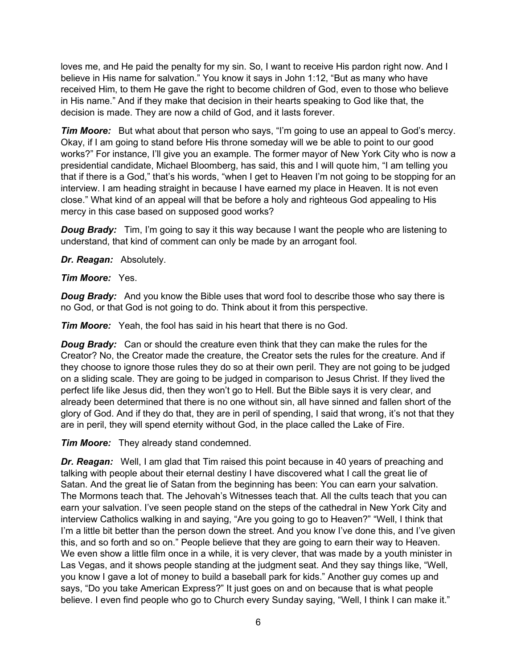loves me, and He paid the penalty for my sin. So, I want to receive His pardon right now. And I believe in His name for salvation." You know it says in John 1:12, "But as many who have received Him, to them He gave the right to become children of God, even to those who believe in His name." And if they make that decision in their hearts speaking to God like that, the decision is made. They are now a child of God, and it lasts forever.

*Tim Moore:* But what about that person who says, "I'm going to use an appeal to God's mercy. Okay, if I am going to stand before His throne someday will we be able to point to our good works?" For instance, I'll give you an example. The former mayor of New York City who is now a presidential candidate, Michael Bloomberg, has said, this and I will quote him, "I am telling you that if there is a God," that's his words, "when I get to Heaven I'm not going to be stopping for an interview. I am heading straight in because I have earned my place in Heaven. It is not even close." What kind of an appeal will that be before a holy and righteous God appealing to His mercy in this case based on supposed good works?

*Doug Brady:* Tim, I'm going to say it this way because I want the people who are listening to understand, that kind of comment can only be made by an arrogant fool.

*Dr. Reagan:* Absolutely.

*Tim Moore:* Yes.

*Doug Brady:* And you know the Bible uses that word fool to describe those who say there is no God, or that God is not going to do. Think about it from this perspective.

*Tim Moore:* Yeah, the fool has said in his heart that there is no God.

*Doug Brady:* Can or should the creature even think that they can make the rules for the Creator? No, the Creator made the creature, the Creator sets the rules for the creature. And if they choose to ignore those rules they do so at their own peril. They are not going to be judged on a sliding scale. They are going to be judged in comparison to Jesus Christ. If they lived the perfect life like Jesus did, then they won't go to Hell. But the Bible says it is very clear, and already been determined that there is no one without sin, all have sinned and fallen short of the glory of God. And if they do that, they are in peril of spending, I said that wrong, it's not that they are in peril, they will spend eternity without God, in the place called the Lake of Fire.

*Tim Moore:* They already stand condemned.

*Dr. Reagan:* Well, I am glad that Tim raised this point because in 40 years of preaching and talking with people about their eternal destiny I have discovered what I call the great lie of Satan. And the great lie of Satan from the beginning has been: You can earn your salvation. The Mormons teach that. The Jehovah's Witnesses teach that. All the cults teach that you can earn your salvation. I've seen people stand on the steps of the cathedral in New York City and interview Catholics walking in and saying, "Are you going to go to Heaven?" "Well, I think that I'm a little bit better than the person down the street. And you know I've done this, and I've given this, and so forth and so on." People believe that they are going to earn their way to Heaven. We even show a little film once in a while, it is very clever, that was made by a youth minister in Las Vegas, and it shows people standing at the judgment seat. And they say things like, "Well, you know I gave a lot of money to build a baseball park for kids." Another guy comes up and says, "Do you take American Express?" It just goes on and on because that is what people believe. I even find people who go to Church every Sunday saying, "Well, I think I can make it."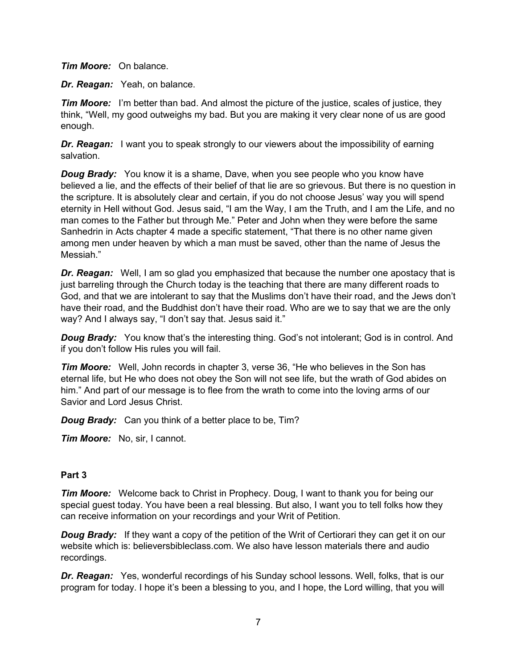*Tim Moore:* On balance.

*Dr. Reagan:* Yeah, on balance.

*Tim Moore:* I'm better than bad. And almost the picture of the justice, scales of justice, they think, "Well, my good outweighs my bad. But you are making it very clear none of us are good enough.

**Dr. Reagan:** I want you to speak strongly to our viewers about the impossibility of earning salvation.

*Doug Brady:* You know it is a shame, Dave, when you see people who you know have believed a lie, and the effects of their belief of that lie are so grievous. But there is no question in the scripture. It is absolutely clear and certain, if you do not choose Jesus' way you will spend eternity in Hell without God. Jesus said, "I am the Way, I am the Truth, and I am the Life, and no man comes to the Father but through Me." Peter and John when they were before the same Sanhedrin in Acts chapter 4 made a specific statement, "That there is no other name given among men under heaven by which a man must be saved, other than the name of Jesus the Messiah."

*Dr. Reagan:* Well, I am so glad you emphasized that because the number one apostacy that is just barreling through the Church today is the teaching that there are many different roads to God, and that we are intolerant to say that the Muslims don't have their road, and the Jews don't have their road, and the Buddhist don't have their road. Who are we to say that we are the only way? And I always say, "I don't say that. Jesus said it."

**Doug Brady:** You know that's the interesting thing. God's not intolerant; God is in control. And if you don't follow His rules you will fail.

*Tim Moore:* Well, John records in chapter 3, verse 36, "He who believes in the Son has eternal life, but He who does not obey the Son will not see life, but the wrath of God abides on him." And part of our message is to flee from the wrath to come into the loving arms of our Savior and Lord Jesus Christ.

*Doug Brady:* Can you think of a better place to be, Tim?

*Tim Moore:* No, sir, I cannot.

#### **Part 3**

*Tim Moore:* Welcome back to Christ in Prophecy. Doug, I want to thank you for being our special guest today. You have been a real blessing. But also, I want you to tell folks how they can receive information on your recordings and your Writ of Petition.

*Doug Brady:* If they want a copy of the petition of the Writ of Certiorari they can get it on our website which is: believersbibleclass.com. We also have lesson materials there and audio recordings.

**Dr. Reagan:** Yes, wonderful recordings of his Sunday school lessons. Well, folks, that is our program for today. I hope it's been a blessing to you, and I hope, the Lord willing, that you will